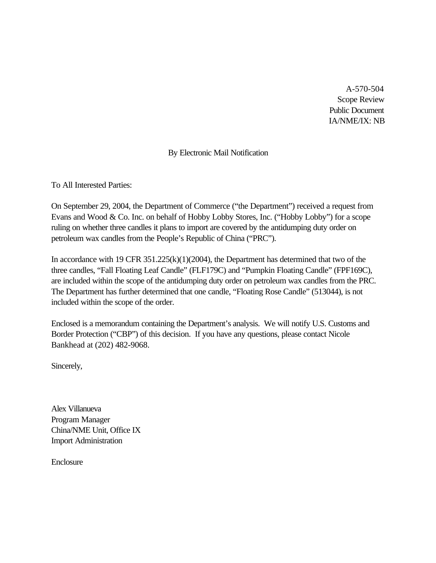A-570-504 Scope Review Public Document IA/NME/IX: NB

#### By Electronic Mail Notification

To All Interested Parties:

On September 29, 2004, the Department of Commerce ("the Department") received a request from Evans and Wood & Co. Inc. on behalf of Hobby Lobby Stores, Inc. ("Hobby Lobby") for a scope ruling on whether three candles it plans to import are covered by the antidumping duty order on petroleum wax candles from the People's Republic of China ("PRC").

In accordance with 19 CFR 351.225(k)(1)(2004), the Department has determined that two of the three candles, "Fall Floating Leaf Candle" (FLF179C) and "Pumpkin Floating Candle" (FPF169C), are included within the scope of the antidumping duty order on petroleum wax candles from the PRC. The Department has further determined that one candle, "Floating Rose Candle" (513044), is not included within the scope of the order.

Enclosed is a memorandum containing the Department's analysis. We will notify U.S. Customs and Border Protection ("CBP") of this decision. If you have any questions, please contact Nicole Bankhead at (202) 482-9068.

Sincerely,

Alex Villanueva Program Manager China/NME Unit, Office IX Import Administration

Enclosure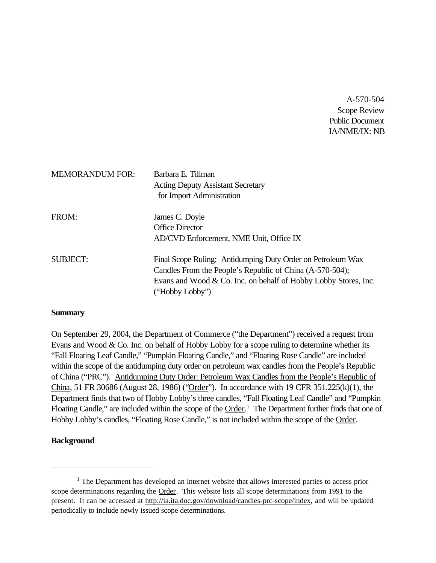A-570-504 Scope Review Public Document IA/NME/IX: NB

| <b>MEMORANDUM FOR:</b> | Barbara E. Tillman<br><b>Acting Deputy Assistant Secretary</b><br>for Import Administration                                                                                                                   |
|------------------------|---------------------------------------------------------------------------------------------------------------------------------------------------------------------------------------------------------------|
| FROM:                  | James C. Doyle<br><b>Office Director</b><br>AD/CVD Enforcement, NME Unit, Office IX                                                                                                                           |
| <b>SUBJECT:</b>        | Final Scope Ruling: Antidumping Duty Order on Petroleum Wax<br>Candles From the People's Republic of China (A-570-504);<br>Evans and Wood & Co. Inc. on behalf of Hobby Lobby Stores, Inc.<br>("Hobby Lobby") |

#### **Summary**

On September 29, 2004, the Department of Commerce ("the Department") received a request from Evans and Wood  $& Co.$  Inc. on behalf of Hobby Lobby for a scope ruling to determine whether its "Fall Floating Leaf Candle," "Pumpkin Floating Candle," and "Floating Rose Candle" are included within the scope of the antidumping duty order on petroleum wax candles from the People's Republic of China ("PRC"). Antidumping Duty Order: Petroleum Wax Candles from the People's Republic of China, 51 FR 30686 (August 28, 1986) ("Order"). In accordance with 19 CFR 351.225(k)(1), the Department finds that two of Hobby Lobby's three candles, "Fall Floating Leaf Candle" and "Pumpkin Floating Candle," are included within the scope of the Order.<sup>1</sup> The Department further finds that one of Hobby Lobby's candles, "Floating Rose Candle," is not included within the scope of the Order.

#### **Background**

 $<sup>1</sup>$  The Department has developed an internet website that allows interested parties to access prior</sup> scope determinations regarding the Order. This website lists all scope determinations from 1991 to the present. It can be accessed at http://ia.ita.doc.gov/download/candles-prc-scope/index, and will be updated periodically to include newly issued scope determinations.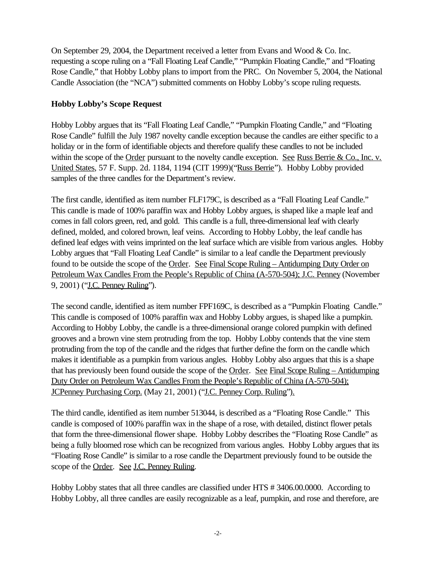On September 29, 2004, the Department received a letter from Evans and Wood & Co. Inc. requesting a scope ruling on a "Fall Floating Leaf Candle," "Pumpkin Floating Candle," and "Floating Rose Candle," that Hobby Lobby plans to import from the PRC. On November 5, 2004, the National Candle Association (the "NCA") submitted comments on Hobby Lobby's scope ruling requests.

### **Hobby Lobby's Scope Request**

Hobby Lobby argues that its "Fall Floating Leaf Candle," "Pumpkin Floating Candle," and "Floating Rose Candle" fulfill the July 1987 novelty candle exception because the candles are either specific to a holiday or in the form of identifiable objects and therefore qualify these candles to not be included within the scope of the Order pursuant to the novelty candle exception. See Russ Berrie & Co., Inc. v. United States, 57 F. Supp. 2d. 1184, 1194 (CIT 1999)("Russ Berrie"). Hobby Lobby provided samples of the three candles for the Department's review.

The first candle, identified as item number FLF179C, is described as a "Fall Floating Leaf Candle." This candle is made of 100% paraffin wax and Hobby Lobby argues, is shaped like a maple leaf and comes in fall colors green, red, and gold. This candle is a full, three-dimensional leaf with clearly defined, molded, and colored brown, leaf veins. According to Hobby Lobby, the leaf candle has defined leaf edges with veins imprinted on the leaf surface which are visible from various angles. Hobby Lobby argues that "Fall Floating Leaf Candle" is similar to a leaf candle the Department previously found to be outside the scope of the Order. See Final Scope Ruling – Antidumping Duty Order on Petroleum Wax Candles From the People's Republic of China (A-570-504); J.C. Penney (November 9, 2001) ("J.C. Penney Ruling").

The second candle, identified as item number FPF169C, is described as a "Pumpkin Floating Candle." This candle is composed of 100% paraffin wax and Hobby Lobby argues, is shaped like a pumpkin. According to Hobby Lobby, the candle is a three-dimensional orange colored pumpkin with defined grooves and a brown vine stem protruding from the top. Hobby Lobby contends that the vine stem protruding from the top of the candle and the ridges that further define the form on the candle which makes it identifiable as a pumpkin from various angles. Hobby Lobby also argues that this is a shape that has previously been found outside the scope of the Order. See Final Scope Ruling – Antidumping Duty Order on Petroleum Wax Candles From the People's Republic of China (A-570-504); JCPenney Purchasing Corp. (May 21, 2001) ("J.C. Penney Corp. Ruling").

The third candle, identified as item number 513044, is described as a "Floating Rose Candle." This candle is composed of 100% paraffin wax in the shape of a rose, with detailed, distinct flower petals that form the three-dimensional flower shape. Hobby Lobby describes the "Floating Rose Candle" as being a fully bloomed rose which can be recognized from various angles. Hobby Lobby argues that its "Floating Rose Candle" is similar to a rose candle the Department previously found to be outside the scope of the Order. See J.C. Penney Ruling.

Hobby Lobby states that all three candles are classified under HTS # 3406.00.0000. According to Hobby Lobby, all three candles are easily recognizable as a leaf, pumpkin, and rose and therefore, are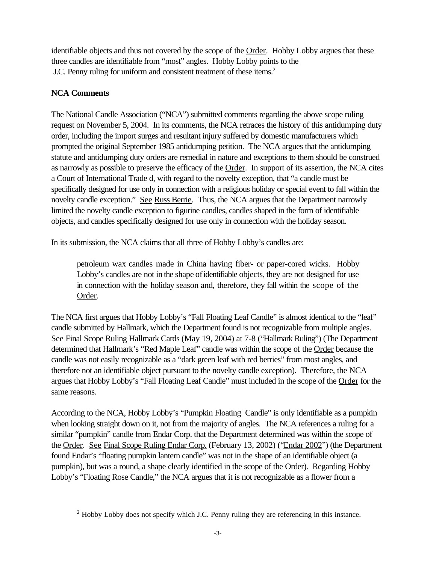identifiable objects and thus not covered by the scope of the Order. Hobby Lobby argues that these three candles are identifiable from "most" angles. Hobby Lobby points to the J.C. Penny ruling for uniform and consistent treatment of these items.<sup>2</sup>

# **NCA Comments**

The National Candle Association ("NCA") submitted comments regarding the above scope ruling request on November 5, 2004. In its comments, the NCA retraces the history of this antidumping duty order, including the import surges and resultant injury suffered by domestic manufacturers which prompted the original September 1985 antidumping petition. The NCA argues that the antidumping statute and antidumping duty orders are remedial in nature and exceptions to them should be construed as narrowly as possible to preserve the efficacy of the Order. In support of its assertion, the NCA cites a Court of International Trade d, with regard to the novelty exception, that "a candle must be specifically designed for use only in connection with a religious holiday or special event to fall within the novelty candle exception." See Russ Berrie. Thus, the NCA argues that the Department narrowly limited the novelty candle exception to figurine candles, candles shaped in the form of identifiable objects, and candles specifically designed for use only in connection with the holiday season.

In its submission, the NCA claims that all three of Hobby Lobby's candles are:

petroleum wax candles made in China having fiber- or paper-cored wicks. Hobby Lobby's candles are not in the shape of identifiable objects, they are not designed for use in connection with the holiday season and, therefore, they fall within the scope of the Order.

The NCA first argues that Hobby Lobby's "Fall Floating Leaf Candle" is almost identical to the "leaf" candle submitted by Hallmark, which the Department found is not recognizable from multiple angles. See Final Scope Ruling Hallmark Cards (May 19, 2004) at 7-8 ("Hallmark Ruling") (The Department determined that Hallmark's "Red Maple Leaf" candle was within the scope of the Order because the candle was not easily recognizable as a "dark green leaf with red berries" from most angles, and therefore not an identifiable object pursuant to the novelty candle exception). Therefore, the NCA argues that Hobby Lobby's "Fall Floating Leaf Candle" must included in the scope of the Order for the same reasons.

According to the NCA, Hobby Lobby's "Pumpkin Floating Candle" is only identifiable as a pumpkin when looking straight down on it, not from the majority of angles. The NCA references a ruling for a similar "pumpkin" candle from Endar Corp. that the Department determined was within the scope of the Order. See Final Scope Ruling Endar Corp. (February 13, 2002) ("Endar 2002") (the Department found Endar's "floating pumpkin lantern candle" was not in the shape of an identifiable object (a pumpkin), but was a round, a shape clearly identified in the scope of the Order). Regarding Hobby Lobby's "Floating Rose Candle," the NCA argues that it is not recognizable as a flower from a

<sup>&</sup>lt;sup>2</sup> Hobby Lobby does not specify which J.C. Penny ruling they are referencing in this instance.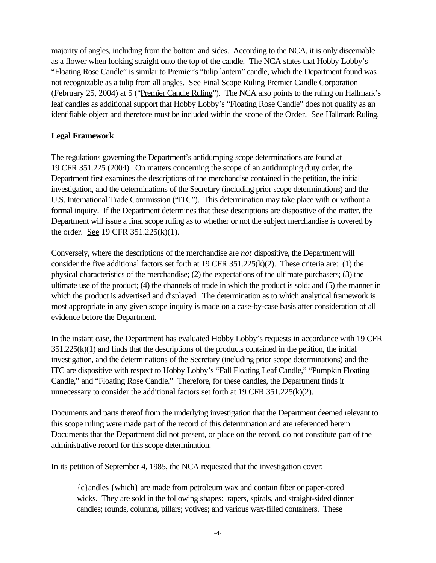majority of angles, including from the bottom and sides. According to the NCA, it is only discernable as a flower when looking straight onto the top of the candle. The NCA states that Hobby Lobby's "Floating Rose Candle" is similar to Premier's "tulip lantern" candle, which the Department found was not recognizable as a tulip from all angles. See Final Scope Ruling Premier Candle Corporation (February 25, 2004) at 5 ("Premier Candle Ruling"). The NCA also points to the ruling on Hallmark's leaf candles as additional support that Hobby Lobby's "Floating Rose Candle" does not qualify as an identifiable object and therefore must be included within the scope of the Order. See Hallmark Ruling.

#### **Legal Framework**

The regulations governing the Department's antidumping scope determinations are found at 19 CFR 351.225 (2004). On matters concerning the scope of an antidumping duty order, the Department first examines the descriptions of the merchandise contained in the petition, the initial investigation, and the determinations of the Secretary (including prior scope determinations) and the U.S. International Trade Commission ("ITC"). This determination may take place with or without a formal inquiry. If the Department determines that these descriptions are dispositive of the matter, the Department will issue a final scope ruling as to whether or not the subject merchandise is covered by the order. See 19 CFR 351.225(k)(1).

Conversely, where the descriptions of the merchandise are *not* dispositive, the Department will consider the five additional factors set forth at 19 CFR  $351.225(k)(2)$ . These criteria are: (1) the physical characteristics of the merchandise; (2) the expectations of the ultimate purchasers; (3) the ultimate use of the product; (4) the channels of trade in which the product is sold; and (5) the manner in which the product is advertised and displayed. The determination as to which analytical framework is most appropriate in any given scope inquiry is made on a case-by-case basis after consideration of all evidence before the Department.

In the instant case, the Department has evaluated Hobby Lobby's requests in accordance with 19 CFR  $351.225(k)(1)$  and finds that the descriptions of the products contained in the petition, the initial investigation, and the determinations of the Secretary (including prior scope determinations) and the ITC are dispositive with respect to Hobby Lobby's "Fall Floating Leaf Candle," "Pumpkin Floating Candle," and "Floating Rose Candle." Therefore, for these candles, the Department finds it unnecessary to consider the additional factors set forth at 19 CFR 351.225(k)(2).

Documents and parts thereof from the underlying investigation that the Department deemed relevant to this scope ruling were made part of the record of this determination and are referenced herein. Documents that the Department did not present, or place on the record, do not constitute part of the administrative record for this scope determination.

In its petition of September 4, 1985, the NCA requested that the investigation cover:

{c}andles {which} are made from petroleum wax and contain fiber or paper-cored wicks. They are sold in the following shapes: tapers, spirals, and straight-sided dinner candles; rounds, columns, pillars; votives; and various wax-filled containers. These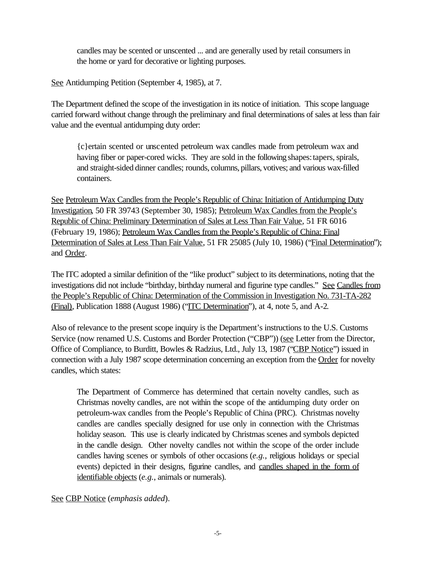candles may be scented or unscented ... and are generally used by retail consumers in the home or yard for decorative or lighting purposes.

See Antidumping Petition (September 4, 1985), at 7.

The Department defined the scope of the investigation in its notice of initiation. This scope language carried forward without change through the preliminary and final determinations of sales at less than fair value and the eventual antidumping duty order:

{c}ertain scented or unscented petroleum wax candles made from petroleum wax and having fiber or paper-cored wicks. They are sold in the following shapes: tapers, spirals, and straight-sided dinner candles; rounds, columns, pillars, votives; and various wax-filled containers.

See Petroleum Wax Candles from the People's Republic of China: Initiation of Antidumping Duty Investigation, 50 FR 39743 (September 30, 1985); Petroleum Wax Candles from the People's Republic of China: Preliminary Determination of Sales at Less Than Fair Value, 51 FR 6016 (February 19, 1986); Petroleum Wax Candles from the People's Republic of China: Final Determination of Sales at Less Than Fair Value, 51 FR 25085 (July 10, 1986) ("Final Determination"); and Order.

The ITC adopted a similar definition of the "like product" subject to its determinations, noting that the investigations did not include "birthday, birthday numeral and figurine type candles." See Candles from the People's Republic of China: Determination of the Commission in Investigation No. 731-TA-282 (Final), Publication 1888 (August 1986) ("ITC Determination"), at 4, note 5, and A-2.

Also of relevance to the present scope inquiry is the Department's instructions to the U.S. Customs Service (now renamed U.S. Customs and Border Protection ("CBP")) (see Letter from the Director, Office of Compliance, to Burditt, Bowles & Radzius, Ltd., July 13, 1987 ("CBP Notice") issued in connection with a July 1987 scope determination concerning an exception from the Order for novelty candles, which states:

The Department of Commerce has determined that certain novelty candles, such as Christmas novelty candles, are not within the scope of the antidumping duty order on petroleum-wax candles from the People's Republic of China (PRC). Christmas novelty candles are candles specially designed for use only in connection with the Christmas holiday season. This use is clearly indicated by Christmas scenes and symbols depicted in the candle design. Other novelty candles not within the scope of the order include candles having scenes or symbols of other occasions (*e.g.*, religious holidays or special events) depicted in their designs, figurine candles, and candles shaped in the form of identifiable objects (*e.g.*, animals or numerals).

See CBP Notice (*emphasis added*).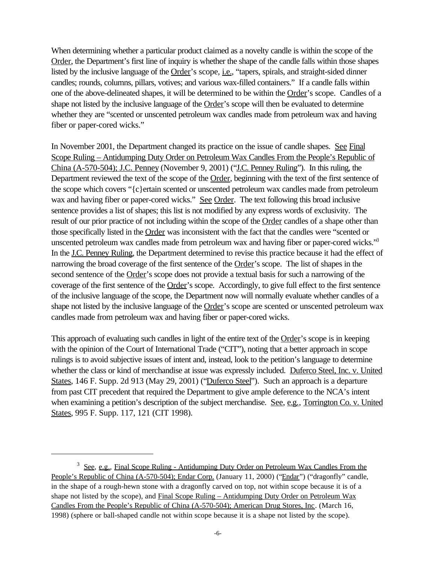When determining whether a particular product claimed as a novelty candle is within the scope of the Order, the Department's first line of inquiry is whether the shape of the candle falls within those shapes listed by the inclusive language of the Order's scope, *i.e.*, "tapers, spirals, and straight-sided dinner candles; rounds, columns, pillars, votives; and various wax-filled containers." If a candle falls within one of the above-delineated shapes, it will be determined to be within the Order's scope. Candles of a shape not listed by the inclusive language of the Order's scope will then be evaluated to determine whether they are "scented or unscented petroleum wax candles made from petroleum wax and having fiber or paper-cored wicks."

In November 2001, the Department changed its practice on the issue of candle shapes. See Final Scope Ruling – Antidumping Duty Order on Petroleum Wax Candles From the People's Republic of China (A-570-504); J.C. Penney (November 9, 2001) ("J.C. Penney Ruling"). In this ruling, the Department reviewed the text of the scope of the Order, beginning with the text of the first sentence of the scope which covers "{c}ertain scented or unscented petroleum wax candles made from petroleum wax and having fiber or paper-cored wicks." See Order. The text following this broad inclusive sentence provides a list of shapes; this list is not modified by any express words of exclusivity. The result of our prior practice of not including within the scope of the Order candles of a shape other than those specifically listed in the Order was inconsistent with the fact that the candles were "scented or unscented petroleum wax candles made from petroleum wax and having fiber or paper-cored wicks."<sup>3</sup> In the J.C. Penney Ruling, the Department determined to revise this practice because it had the effect of narrowing the broad coverage of the first sentence of the Order's scope. The list of shapes in the second sentence of the Order's scope does not provide a textual basis for such a narrowing of the coverage of the first sentence of the Order's scope. Accordingly, to give full effect to the first sentence of the inclusive language of the scope, the Department now will normally evaluate whether candles of a shape not listed by the inclusive language of the Order's scope are scented or unscented petroleum wax candles made from petroleum wax and having fiber or paper-cored wicks.

This approach of evaluating such candles in light of the entire text of the Order's scope is in keeping with the opinion of the Court of International Trade ("CIT"), noting that a better approach in scope rulings is to avoid subjective issues of intent and, instead, look to the petition's language to determine whether the class or kind of merchandise at issue was expressly included. Duferco Steel, Inc. v. United States, 146 F. Supp. 2d 913 (May 29, 2001) ("Duferco Steel"). Such an approach is a departure from past CIT precedent that required the Department to give ample deference to the NCA's intent when examining a petition's description of the subject merchandise. See, e.g., Torrington Co. v. United States, 995 F. Supp. 117, 121 (CIT 1998).

<sup>&</sup>lt;sup>3</sup> See, e.g., Final Scope Ruling - Antidumping Duty Order on Petroleum Wax Candles From the People's Republic of China (A-570-504); Endar Corp. (January 11, 2000) ("Endar") ("dragonfly" candle, in the shape of a rough-hewn stone with a dragonfly carved on top, not within scope because it is of a shape not listed by the scope), and Final Scope Ruling – Antidumping Duty Order on Petroleum Wax Candles From the People's Republic of China (A-570-504); American Drug Stores, Inc. (March 16, 1998) (sphere or ball-shaped candle not within scope because it is a shape not listed by the scope).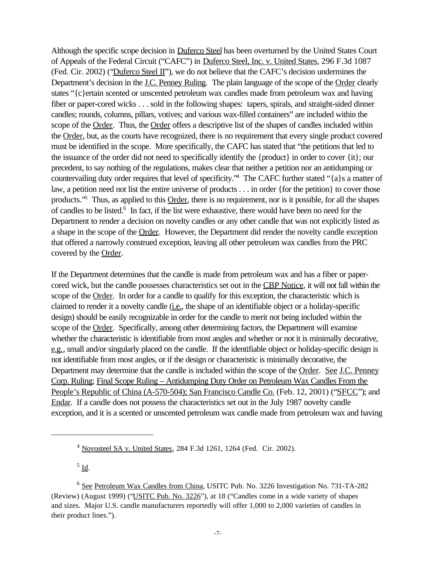Although the specific scope decision in Duferco Steel has been overturned by the United States Court of Appeals of the Federal Circuit ("CAFC") in Duferco Steel, Inc. v. United States, 296 F.3d 1087 (Fed. Cir. 2002) ("Duferco Steel II"), we do not believe that the CAFC's decision undermines the Department's decision in the J.C. Penney Ruling. The plain language of the scope of the Order clearly states "{c}ertain scented or unscented petroleum wax candles made from petroleum wax and having fiber or paper-cored wicks . . . sold in the following shapes: tapers, spirals, and straight-sided dinner candles; rounds, columns, pillars, votives; and various wax-filled containers" are included within the scope of the Order. Thus, the Order offers a descriptive list of the shapes of candles included within the Order, but, as the courts have recognized, there is no requirement that every single product covered must be identified in the scope. More specifically, the CAFC has stated that "the petitions that led to the issuance of the order did not need to specifically identify the {product} in order to cover {it}; our precedent, to say nothing of the regulations, makes clear that neither a petition nor an antidumping or countervailing duty order requires that level of specificity."<sup>4</sup> The CAFC further stated "{a}s a matter of law, a petition need not list the entire universe of products . . . in order {for the petition} to cover those products."<sup>5</sup> Thus, as applied to this Order, there is no requirement, nor is it possible, for all the shapes of candles to be listed.<sup>6</sup> In fact, if the list were exhaustive, there would have been no need for the Department to render a decision on novelty candles or any other candle that was not explicitly listed as a shape in the scope of the Order. However, the Department did render the novelty candle exception that offered a narrowly construed exception, leaving all other petroleum wax candles from the PRC covered by the Order.

If the Department determines that the candle is made from petroleum wax and has a fiber or papercored wick, but the candle possesses characteristics set out in the CBP Notice, it will not fall within the scope of the Order. In order for a candle to qualify for this exception, the characteristic which is claimed to render it a novelty candle (i.e., the shape of an identifiable object or a holiday-specific design) should be easily recognizable in order for the candle to merit not being included within the scope of the Order. Specifically, among other determining factors, the Department will examine whether the characteristic is identifiable from most angles and whether or not it is minimally decorative, e.g., small and/or singularly placed on the candle. If the identifiable object or holiday-specific design is not identifiable from most angles, or if the design or characteristic is minimally decorative, the Department may determine that the candle is included within the scope of the Order. See J.C. Penney Corp. Ruling; Final Scope Ruling – Antidumping Duty Order on Petroleum Wax Candles From the People's Republic of China (A-570-504); San Francisco Candle Co. (Feb. 12, 2001) ("SFCC"); and Endar. If a candle does not possess the characteristics set out in the July 1987 novelty candle exception, and it is a scented or unscented petroleum wax candle made from petroleum wax and having

 $^5$  <u>Id</u>.

<sup>4</sup> Novosteel SA v. United States, 284 F.3d 1261, 1264 (Fed. Cir. 2002).

<sup>&</sup>lt;sup>6</sup> See Petroleum Wax Candles from China, USITC Pub. No. 3226 Investigation No. 731-TA-282 (Review) (August 1999) ("USITC Pub. No. 3226"), at 18 ("Candles come in a wide variety of shapes and sizes. Major U.S. candle manufacturers reportedly will offer 1,000 to 2,000 varieties of candles in their product lines.").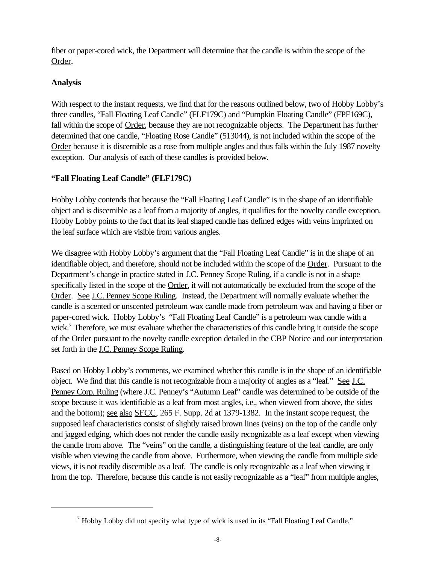fiber or paper-cored wick, the Department will determine that the candle is within the scope of the Order.

# **Analysis**

With respect to the instant requests, we find that for the reasons outlined below, two of Hobby Lobby's three candles, "Fall Floating Leaf Candle" (FLF179C) and "Pumpkin Floating Candle" (FPF169C), fall within the scope of Order, because they are not recognizable objects. The Department has further determined that one candle, "Floating Rose Candle" (513044), is not included within the scope of the Order because it is discernible as a rose from multiple angles and thus falls within the July 1987 novelty exception. Our analysis of each of these candles is provided below.

# **"Fall Floating Leaf Candle" (FLF179C)**

Hobby Lobby contends that because the "Fall Floating Leaf Candle" is in the shape of an identifiable object and is discernible as a leaf from a majority of angles, it qualifies for the novelty candle exception. Hobby Lobby points to the fact that its leaf shaped candle has defined edges with veins imprinted on the leaf surface which are visible from various angles.

We disagree with Hobby Lobby's argument that the "Fall Floating Leaf Candle" is in the shape of an identifiable object, and therefore, should not be included within the scope of the Order. Pursuant to the Department's change in practice stated in J.C. Penney Scope Ruling, if a candle is not in a shape specifically listed in the scope of the Order, it will not automatically be excluded from the scope of the Order. See J.C. Penney Scope Ruling. Instead, the Department will normally evaluate whether the candle is a scented or unscented petroleum wax candle made from petroleum wax and having a fiber or paper-cored wick. Hobby Lobby's "Fall Floating Leaf Candle" is a petroleum wax candle with a wick.<sup>7</sup> Therefore, we must evaluate whether the characteristics of this candle bring it outside the scope of the Order pursuant to the novelty candle exception detailed in the CBP Notice and our interpretation set forth in the J.C. Penney Scope Ruling.

Based on Hobby Lobby's comments, we examined whether this candle is in the shape of an identifiable object. We find that this candle is not recognizable from a majority of angles as a "leaf." See J.C. Penney Corp. Ruling (where J.C. Penney's "Autumn Leaf" candle was determined to be outside of the scope because it was identifiable as a leaf from most angles, i.e., when viewed from above, the sides and the bottom); see also SFCC, 265 F. Supp. 2d at 1379-1382. In the instant scope request, the supposed leaf characteristics consist of slightly raised brown lines (veins) on the top of the candle only and jagged edging, which does not render the candle easily recognizable as a leaf except when viewing the candle from above. The "veins" on the candle, a distinguishing feature of the leaf candle, are only visible when viewing the candle from above. Furthermore, when viewing the candle from multiple side views, it is not readily discernible as a leaf. The candle is only recognizable as a leaf when viewing it from the top. Therefore, because this candle is not easily recognizable as a "leaf" from multiple angles,

 $<sup>7</sup>$  Hobby Lobby did not specify what type of wick is used in its "Fall Floating Leaf Candle."</sup>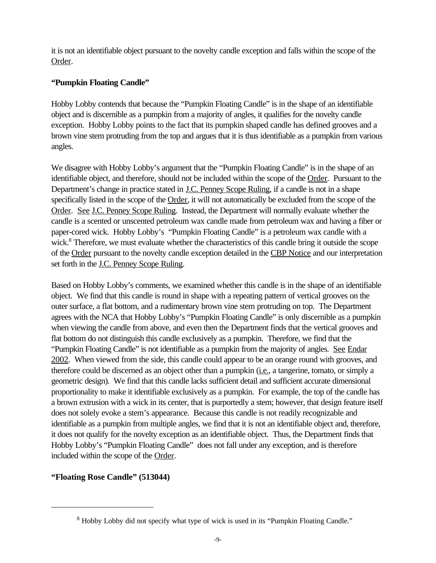it is not an identifiable object pursuant to the novelty candle exception and falls within the scope of the Order.

### **"Pumpkin Floating Candle"**

Hobby Lobby contends that because the "Pumpkin Floating Candle" is in the shape of an identifiable object and is discernible as a pumpkin from a majority of angles, it qualifies for the novelty candle exception. Hobby Lobby points to the fact that its pumpkin shaped candle has defined grooves and a brown vine stem protruding from the top and argues that it is thus identifiable as a pumpkin from various angles.

We disagree with Hobby Lobby's argument that the "Pumpkin Floating Candle" is in the shape of an identifiable object, and therefore, should not be included within the scope of the Order. Pursuant to the Department's change in practice stated in J.C. Penney Scope Ruling, if a candle is not in a shape specifically listed in the scope of the Order, it will not automatically be excluded from the scope of the Order. See J.C. Penney Scope Ruling. Instead, the Department will normally evaluate whether the candle is a scented or unscented petroleum wax candle made from petroleum wax and having a fiber or paper-cored wick. Hobby Lobby's "Pumpkin Floating Candle" is a petroleum wax candle with a wick.<sup>8</sup> Therefore, we must evaluate whether the characteristics of this candle bring it outside the scope of the Order pursuant to the novelty candle exception detailed in the CBP Notice and our interpretation set forth in the J.C. Penney Scope Ruling.

Based on Hobby Lobby's comments, we examined whether this candle is in the shape of an identifiable object. We find that this candle is round in shape with a repeating pattern of vertical grooves on the outer surface, a flat bottom, and a rudimentary brown vine stem protruding on top. The Department agrees with the NCA that Hobby Lobby's "Pumpkin Floating Candle" is only discernible as a pumpkin when viewing the candle from above, and even then the Department finds that the vertical grooves and flat bottom do not distinguish this candle exclusively as a pumpkin. Therefore, we find that the "Pumpkin Floating Candle" is not identifiable as a pumpkin from the majority of angles. See Endar 2002. When viewed from the side, this candle could appear to be an orange round with grooves, and therefore could be discerned as an object other than a pumpkin (*i.e.*, a tangerine, tomato, or simply a geometric design). We find that this candle lacks sufficient detail and sufficient accurate dimensional proportionality to make it identifiable exclusively as a pumpkin. For example, the top of the candle has a brown extrusion with a wick in its center, that is purportedly a stem; however, that design feature itself does not solely evoke a stem's appearance. Because this candle is not readily recognizable and identifiable as a pumpkin from multiple angles, we find that it is not an identifiable object and, therefore, it does not qualify for the novelty exception as an identifiable object. Thus, the Department finds that Hobby Lobby's "Pumpkin Floating Candle" does not fall under any exception, and is therefore included within the scope of the Order.

# **"Floating Rose Candle" (513044)**

<sup>&</sup>lt;sup>8</sup> Hobby Lobby did not specify what type of wick is used in its "Pumpkin Floating Candle."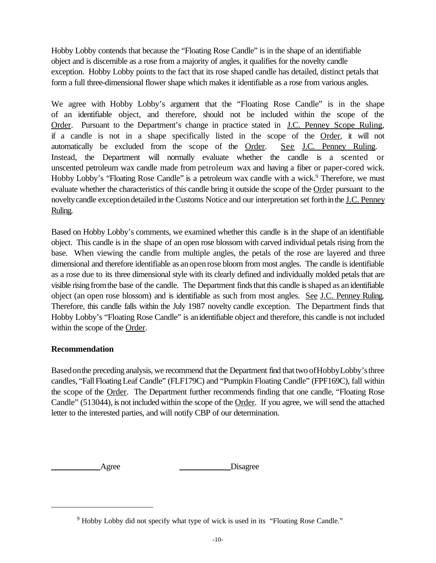Hobby Lobby contends that because the "Floating Rose Candle" is in the shape of an identifiable object and is discernible as a rose from a majority of angles, it qualifies for the novelty candle exception. Hobby Lobby points to the fact that its rose shaped candle has detailed, distinct petals that form a full three-dimensional flower shape which makes it identifiable as a rose from various angles.

We agree with Hobby Lobby's argument that the "Floating Rose Candle" is in the shape of an identifiable object, and therefore, should not be included within the scope of the Order. Pursuant to the Department's change in practice stated in <u>J.C. Penney Scope Ruling</u>, if a candle is not in a shape specifically listed in the scope of the Order, it will not automatically be excluded from the scope of the Order. See J.C. Penney Ruling. Instead, the Department will normally evaluate whether the candle is a scented or unscented petroleum wax candle made from petroleum wax and having a fiber or paper-cored wick. Hobby Lobby's "Floating Rose Candle" is a petroleum wax candle with a wick.<sup>9</sup> Therefore, we must evaluate whether the characteristics of this candle bring it outside the scope of the Order pursuant to the noveltycandle exceptiondetailed inthe Customs Notice and our interpretation set forthinthe J.C. Penney Ruling.

Based on Hobby Lobby's comments, we examined whether this candle is in the shape of an identifiable object. This candle is in the shape of an open rose blossom with carved individual petals rising from the base. When viewing the candle from multiple angles, the petals of the rose are layered and three dimensional and therefore identifiable as anopenrose bloom from most angles. The candle is identifiable as a rose due to its three dimensional style with its clearly defined and individually molded petals that are visible rising from the base of the candle. The Department finds that this candle is shaped as an identifiable object (an open rose blossom) and is identifiable as such from most angles. See J.C. Penney Ruling. Therefore, this candle falls within the July 1987 novelty candle exception. The Department finds that Hobby Lobby's "Floating Rose Candle" is anidentifiable object and therefore, this candle is not included within the scope of the Order.

#### **Recommendation**

Basedonthe preceding analysis, we recommend that the Department find that two ofHobbyLobby'sthree candles, "FallFloatingLeaf Candle" (FLF179C) and "Pumpkin Floating Candle" (FPF169C), fall within the scope of the Order. The Department further recommends finding that one candle, "Floating Rose Candle" (513044), is not included within the scope of the Order. If you agree, we will send the attached letter to the interested parties, and will notify CBP of our determination.

Agree Disagree

<sup>9</sup> Hobby Lobby did not specify what type of wick is used in its "Floating Rose Candle."